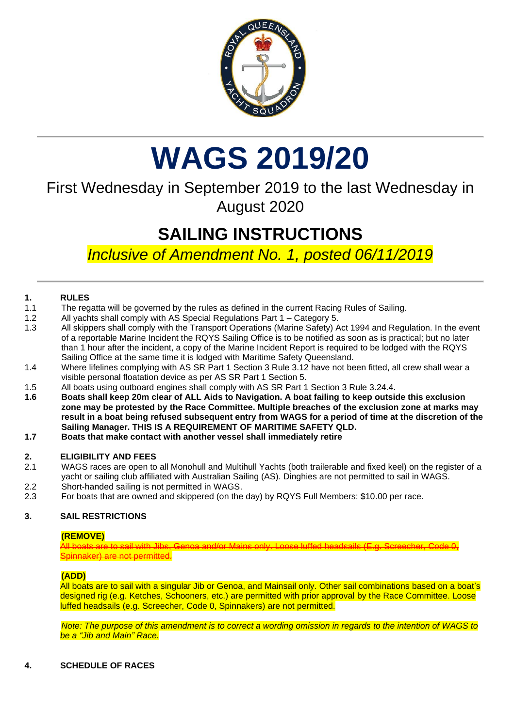

## **WAGS 2019/20**

### First Wednesday in September 2019 to the last Wednesday in August 2020

## **SAILING INSTRUCTIONS**

*Inclusive of Amendment No. 1, posted 06/11/2019*

#### **1. RULES**

- 1.1 The regatta will be governed by the rules as defined in the current Racing Rules of Sailing.
- 1.2 All yachts shall comply with AS Special Regulations Part 1 Category 5.
- 1.3 All skippers shall comply with the Transport Operations (Marine Safety) Act 1994 and Regulation. In the event of a reportable Marine Incident the RQYS Sailing Office is to be notified as soon as is practical; but no later than 1 hour after the incident, a copy of the Marine Incident Report is required to be lodged with the RQYS Sailing Office at the same time it is lodged with Maritime Safety Queensland.
- 1.4 Where lifelines complying with AS SR Part 1 Section 3 Rule 3.12 have not been fitted, all crew shall wear a visible personal floatation device as per AS SR Part 1 Section 5.
- 1.5 All boats using outboard engines shall comply with AS SR Part 1 Section 3 Rule 3.24.4.
- **1.6 Boats shall keep 20m clear of ALL Aids to Navigation. A boat failing to keep outside this exclusion zone may be protested by the Race Committee. Multiple breaches of the exclusion zone at marks may result in a boat being refused subsequent entry from WAGS for a period of time at the discretion of the Sailing Manager. THIS IS A REQUIREMENT OF MARITIME SAFETY QLD.**
- **1.7 Boats that make contact with another vessel shall immediately retire**

#### **2. ELIGIBILITY AND FEES**

- 2.1 WAGS races are open to all Monohull and Multihull Yachts (both trailerable and fixed keel) on the register of a yacht or sailing club affiliated with Australian Sailing (AS). Dinghies are not permitted to sail in WAGS.
- 2.2 Short-handed sailing is not permitted in WAGS.
- 2.3 For boats that are owned and skippered (on the day) by RQYS Full Members: \$10.00 per race.

#### **3. SAIL RESTRICTIONS**

#### **(REMOVE)**

All boats are to sail with Jibs, Genoa and/or Mains only. Loose luffed headsails (E.g. Screecher, Code 0, innaker) are not permitted.

#### **(ADD)**

All boats are to sail with a singular Jib or Genoa, and Mainsail only. Other sail combinations based on a boat's designed rig (e.g. Ketches, Schooners, etc.) are permitted with prior approval by the Race Committee. Loose luffed headsails (e.g. Screecher, Code 0, Spinnakers) are not permitted.

*Note: The purpose of this amendment is to correct a wording omission in regards to the intention of WAGS to be a "Jib and Main" Race.*

#### **4. SCHEDULE OF RACES**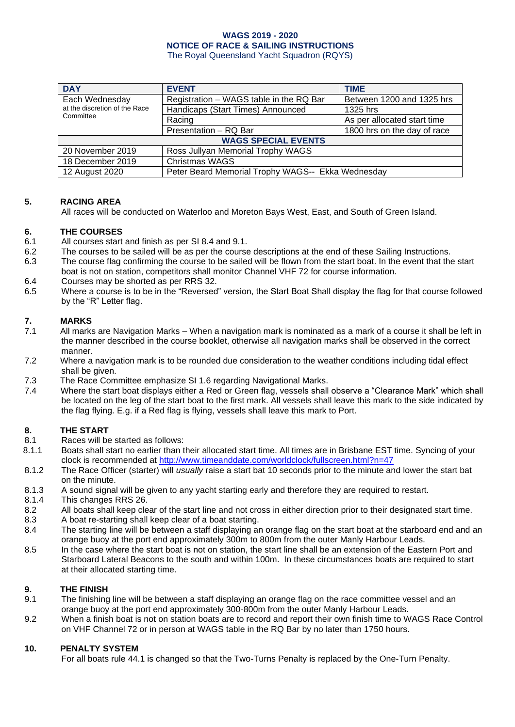The Royal Queensland Yacht Squadron (RQYS)

| <b>DAY</b>                                                   | <b>EVENT</b>                                      | <b>TIME</b>                 |
|--------------------------------------------------------------|---------------------------------------------------|-----------------------------|
| Each Wednesday<br>at the discretion of the Race<br>Committee | Registration - WAGS table in the RQ Bar           | Between 1200 and 1325 hrs   |
|                                                              | Handicaps (Start Times) Announced                 | 1325 hrs                    |
|                                                              | Racing                                            | As per allocated start time |
|                                                              | Presentation - RQ Bar                             | 1800 hrs on the day of race |
| <b>WAGS SPECIAL EVENTS</b>                                   |                                                   |                             |
| 20 November 2019                                             | Ross Jullyan Memorial Trophy WAGS                 |                             |
| 18 December 2019                                             | Christmas WAGS                                    |                             |
| 12 August 2020                                               | Peter Beard Memorial Trophy WAGS-- Ekka Wednesday |                             |

#### **5. RACING AREA**

All races will be conducted on Waterloo and Moreton Bays West, East, and South of Green Island.

#### **6. THE COURSES**

- 6.1 All courses start and finish as per SI 8.4 and 9.1.
- 6.2 The courses to be sailed will be as per the course descriptions at the end of these Sailing Instructions.
- 6.3 The course flag confirming the course to be sailed will be flown from the start boat. In the event that the start boat is not on station, competitors shall monitor Channel VHF 72 for course information.
- 6.4 Courses may be shorted as per RRS 32.
- 6.5 Where a course is to be in the "Reversed" version, the Start Boat Shall display the flag for that course followed by the "R" Letter flag.

#### **7. MARKS**

- 7.1 All marks are Navigation Marks When a navigation mark is nominated as a mark of a course it shall be left in the manner described in the course booklet, otherwise all navigation marks shall be observed in the correct manner.
- 7.2 Where a navigation mark is to be rounded due consideration to the weather conditions including tidal effect shall be given.
- 7.3 The Race Committee emphasize SI 1.6 regarding Navigational Marks.
- 7.4 Where the start boat displays either a Red or Green flag, vessels shall observe a "Clearance Mark" which shall be located on the leg of the start boat to the first mark. All vessels shall leave this mark to the side indicated by the flag flying. E.g. if a Red flag is flying, vessels shall leave this mark to Port.

## **8. THE START**

- Races will be started as follows:
- 8.1.1 Boats shall start no earlier than their allocated start time. All times are in Brisbane EST time. Syncing of your clock is recommended at<http://www.timeanddate.com/worldclock/fullscreen.html?n=47>
- 8.1.2 The Race Officer (starter) will *usually* raise a start bat 10 seconds prior to the minute and lower the start bat on the minute.
- 8.1.3 A sound signal will be given to any yacht starting early and therefore they are required to restart.
- 8.1.4 This changes RRS 26.
- 8.2 All boats shall keep clear of the start line and not cross in either direction prior to their designated start time.
- 8.3 A boat re-starting shall keep clear of a boat starting.
- 8.4 The starting line will be between a staff displaying an orange flag on the start boat at the starboard end and an orange buoy at the port end approximately 300m to 800m from the outer Manly Harbour Leads.
- 8.5 In the case where the start boat is not on station, the start line shall be an extension of the Eastern Port and Starboard Lateral Beacons to the south and within 100m. In these circumstances boats are required to start at their allocated starting time.

#### **9. THE FINISH**

- 9.1 The finishing line will be between a staff displaying an orange flag on the race committee vessel and an orange buoy at the port end approximately 300-800m from the outer Manly Harbour Leads.
- 9.2 When a finish boat is not on station boats are to record and report their own finish time to WAGS Race Control on VHF Channel 72 or in person at WAGS table in the RQ Bar by no later than 1750 hours.

#### **10. PENALTY SYSTEM**

For all boats rule 44.1 is changed so that the Two-Turns Penalty is replaced by the One-Turn Penalty.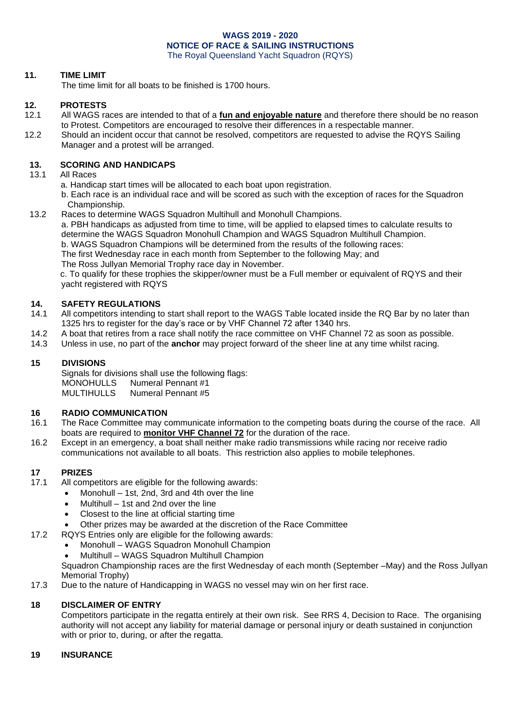#### **11. TIME LIMIT**

The time limit for all boats to be finished is 1700 hours.

#### **12. PROTESTS**

- 12.1 All WAGS races are intended to that of a **fun and enjoyable nature** and therefore there should be no reason to Protest. Competitors are encouraged to resolve their differences in a respectable manner.
- 12.2 Should an incident occur that cannot be resolved, competitors are requested to advise the RQYS Sailing Manager and a protest will be arranged.

#### **13. SCORING AND HANDICAPS**

- 13.1 All Races
	- a. Handicap start times will be allocated to each boat upon registration.
	- b. Each race is an individual race and will be scored as such with the exception of races for the Squadron Championship.

13.2 Races to determine WAGS Squadron Multihull and Monohull Champions. a. PBH handicaps as adjusted from time to time, will be applied to elapsed times to calculate results to determine the WAGS Squadron Monohull Champion and WAGS Squadron Multihull Champion. b. WAGS Squadron Champions will be determined from the results of the following races: The first Wednesday race in each month from September to the following May; and

The Ross Jullyan Memorial Trophy race day in November.

c. To qualify for these trophies the skipper/owner must be a Full member or equivalent of RQYS and their yacht registered with RQYS

#### **14. SAFETY REGULATIONS**

- 14.1 All competitors intending to start shall report to the WAGS Table located inside the RQ Bar by no later than 1325 hrs to register for the day's race or by VHF Channel 72 after 1340 hrs.
- 14.2 A boat that retires from a race shall notify the race committee on VHF Channel 72 as soon as possible.
- 14.3 Unless in use, no part of the **anchor** may project forward of the sheer line at any time whilst racing.

#### **15 DIVISIONS**

Signals for divisions shall use the following flags: MONOHULLS Numeral Pennant #1<br>MULTIHULLS Numeral Pennant #5 Numeral Pennant #5

#### **16 RADIO COMMUNICATION**

- 16.1 The Race Committee may communicate information to the competing boats during the course of the race. All boats are required to **monitor VHF Channel 72** for the duration of the race.
- 16.2 Except in an emergency, a boat shall neither make radio transmissions while racing nor receive radio communications not available to all boats. This restriction also applies to mobile telephones.

#### **17 PRIZES**

- 17.1 All competitors are eligible for the following awards:
	- Monohull 1st, 2nd, 3rd and 4th over the line
		- Multihull 1st and 2nd over the line
		- Closest to the line at official starting time
	- Other prizes may be awarded at the discretion of the Race Committee
- 17.2 RQYS Entries only are eligible for the following awards:
	- Monohull WAGS Squadron Monohull Champion
	- Multihull WAGS Squadron Multihull Champion

Squadron Championship races are the first Wednesday of each month (September –May) and the Ross Jullyan Memorial Trophy)

17.3 Due to the nature of Handicapping in WAGS no vessel may win on her first race.

#### **18 DISCLAIMER OF ENTRY**

Competitors participate in the regatta entirely at their own risk. See RRS 4, Decision to Race. The organising authority will not accept any liability for material damage or personal injury or death sustained in conjunction with or prior to, during, or after the regatta.

#### **19 INSURANCE**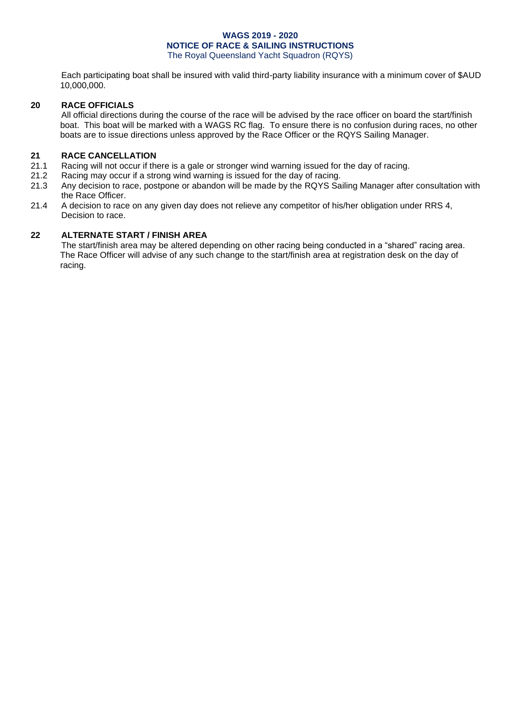Each participating boat shall be insured with valid third-party liability insurance with a minimum cover of \$AUD 10,000,000.

#### **20 RACE OFFICIALS**

All official directions during the course of the race will be advised by the race officer on board the start/finish boat. This boat will be marked with a WAGS RC flag. To ensure there is no confusion during races, no other boats are to issue directions unless approved by the Race Officer or the RQYS Sailing Manager.

#### **21 RACE CANCELLATION**

- 21.1 Racing will not occur if there is a gale or stronger wind warning issued for the day of racing.<br>21.2 Racing may occur if a strong wind warning is issued for the day of racing.
- Racing may occur if a strong wind warning is issued for the day of racing.
- 21.3 Any decision to race, postpone or abandon will be made by the RQYS Sailing Manager after consultation with the Race Officer.
- 21.4 A decision to race on any given day does not relieve any competitor of his/her obligation under RRS 4, Decision to race.

#### **22 ALTERNATE START / FINISH AREA**

The start/finish area may be altered depending on other racing being conducted in a "shared" racing area. The Race Officer will advise of any such change to the start/finish area at registration desk on the day of racing.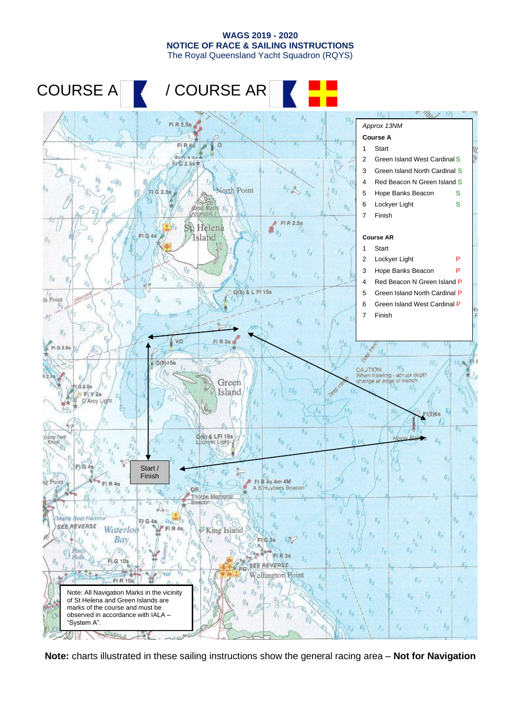

**Note:** charts illustrated in these sailing instructions show the general racing area – **Not for Navigation**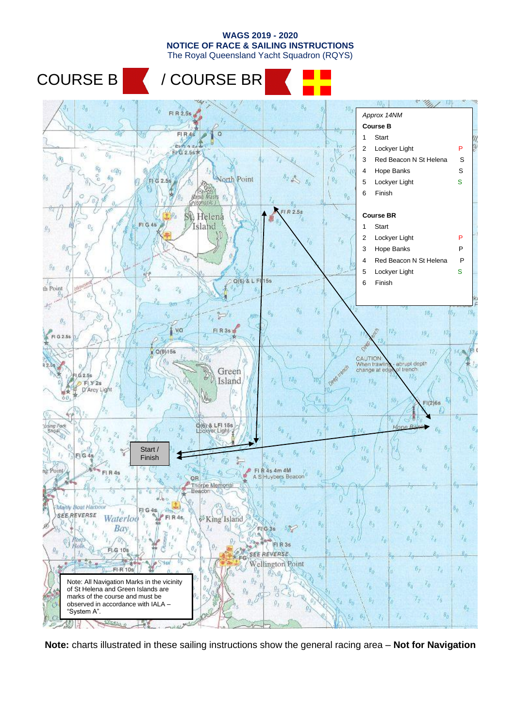

**Note:** charts illustrated in these sailing instructions show the general racing area – **Not for Navigation**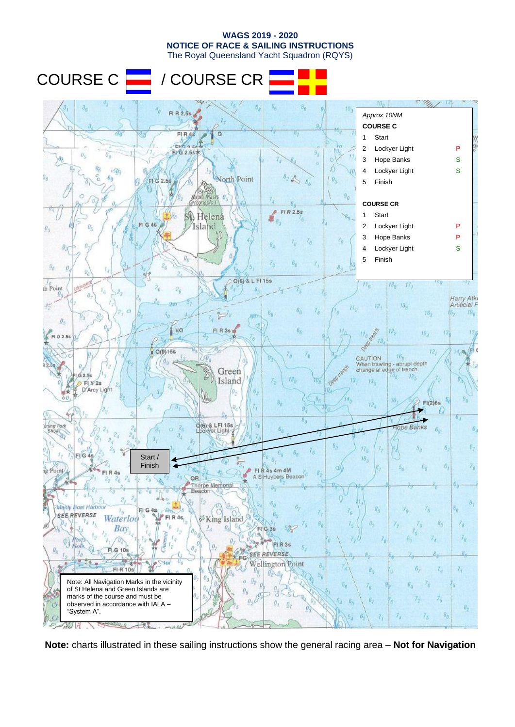



**Note:** charts illustrated in these sailing instructions show the general racing area – **Not for Navigation**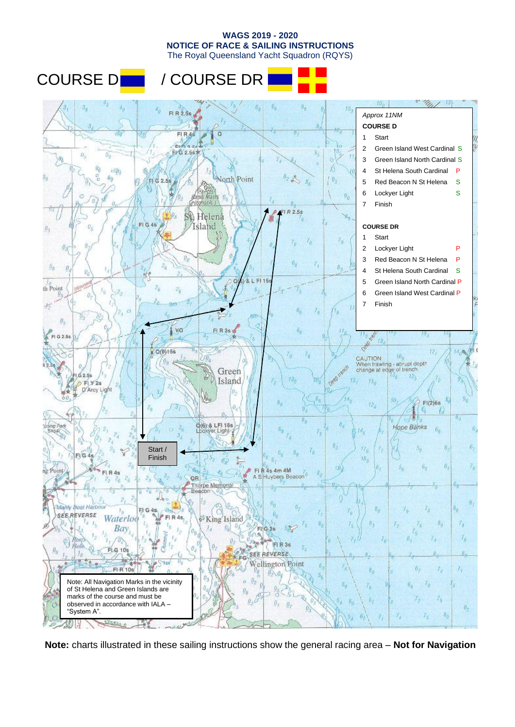The Royal Queensland Yacht Squadron (RQYS)

## COURSE D | / COURSE DR



**Note:** charts illustrated in these sailing instructions show the general racing area – **Not for Navigation**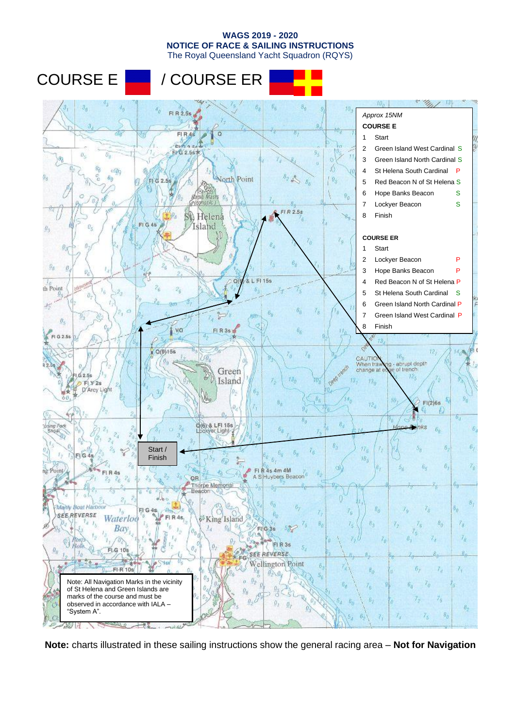

**Note:** charts illustrated in these sailing instructions show the general racing area – **Not for Navigation**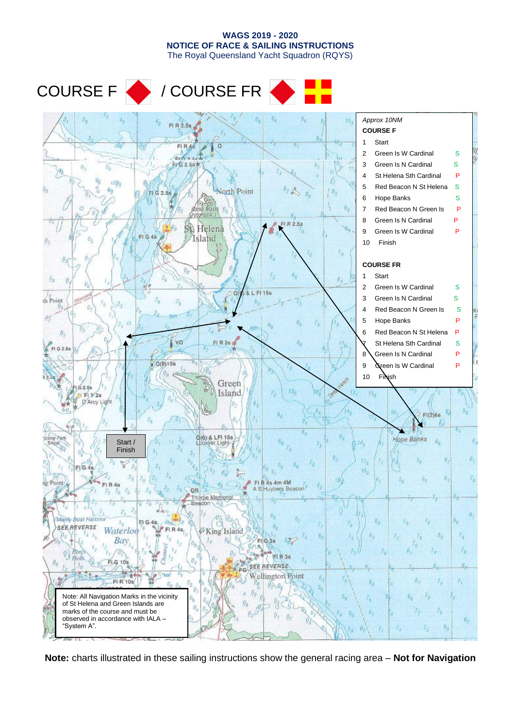#### The Royal Queensland Yacht Squadron (RQYS) COURSE F / COURSE FR  $3<sub>0</sub>$ *Approx 10NM*  $70.$ FI R 2.5s **COURSE F** 1 Start  $FIRA$ 2 Green Is W Cardinal S ή'n, **EYG 2.56** 3 Green Is N Cardinal S  $\partial_{x}$ 4 St Helena Sth Cardinal P 5 Red Beacon N St Helena S North Point A, FI G 2.5 6 Hope Banks S  $\theta_0$ 7 Red Beacon N Green Is P 8 Green Is N Cardinal P  $FIR2.58$ Helená 9 Green Is W Cardinal P FI<sub>G</sub> Island  $\theta$  $\boldsymbol{\theta}$ 10 Finish  $\mathcal{I}_9$ **COURSE FR** 1 Start  $6<sub>o</sub>$  $\mathcal{Q}_0$ 8, 2 Green Is W Cardinal S FI 15s C 3 Green Is N Cardinal S th Point 4 Red Beacon N Green Is S À, 5 Hope Banks P 6 Red Beacon N St Helena P  $\theta_i$ vo FI R 3s St Helena Sth Cardinal S FI G 2.5 8 Green Is N Cardinal P  $0(9)158$ 9 Green Is W Cardinal P 10 Finish Green  $62.51$ Island  $13<sub>g</sub>$ FLY<sub>2s</sub> D'Arcy Light 97 YĠ  $FI(2)6s$ 6, ming Pork<br>Shoel Q(6) & LFI 15s Hope Banks  $\overline{b}_k$ Start / igl Finishè 5. 17.  $F_2$ G  $18.$ Point de am aM  $4s$ uybers Beacon OR rpe Memoria Ĥ Manly Boat Harbor  $5^{\circ}_{0}$  $s_o$ ī, C **SEE REVERSE** Waterloo  $FI$   $R$   $4s$ King Island  $\hat{\delta}_0$ 7, r, **Bay** 75 74 8, Z 肩 R 3s lolè FLG 108 REVERSE 36 SEE ellington Point  $6<sub>7</sub>$ FI-R 10s  $7<sub>d</sub>$  $7<sub>1</sub>$ Note: All Navigation Marks in the vicinity 7,  $\bar{6}_0$ of St Helena and Green Islands are marks of the course and must be  $\vec{r}_5$ observed in accordance with IALA –  $B_{\mathcal{D}}$ "System A".  $\delta_{0}$ 7,

**WAGS 2019 - 2020 NOTICE OF RACE & SAILING INSTRUCTIONS**

**Note:** charts illustrated in these sailing instructions show the general racing area – **Not for Navigation**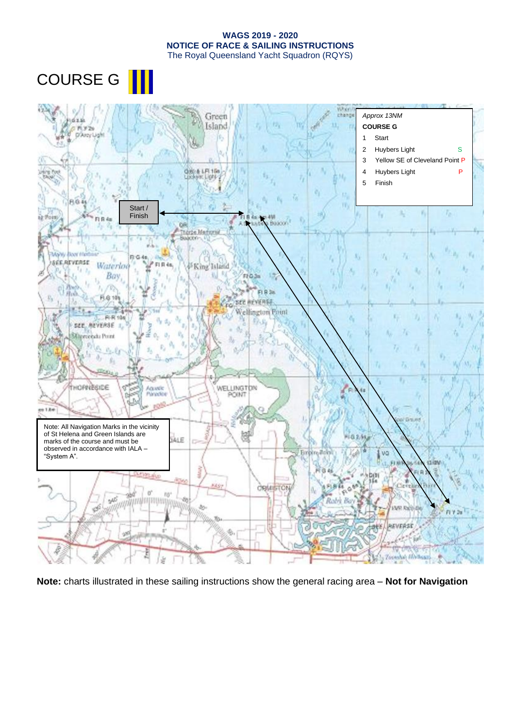COURSE G ||



**Note:** charts illustrated in these sailing instructions show the general racing area – **Not for Navigation**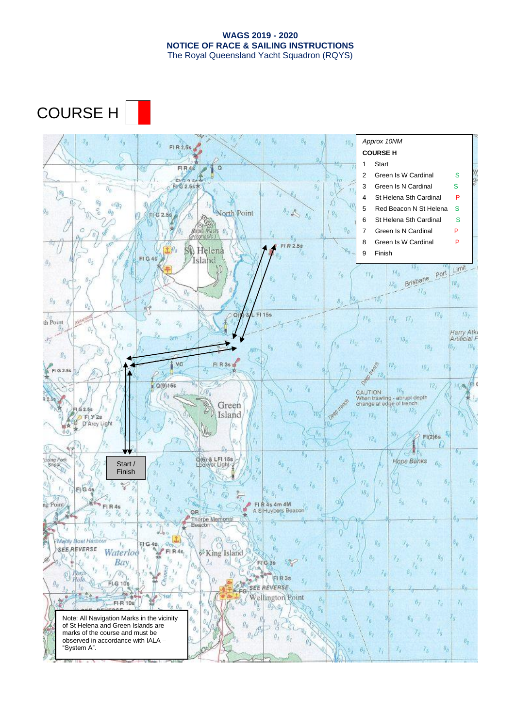## COURSE H

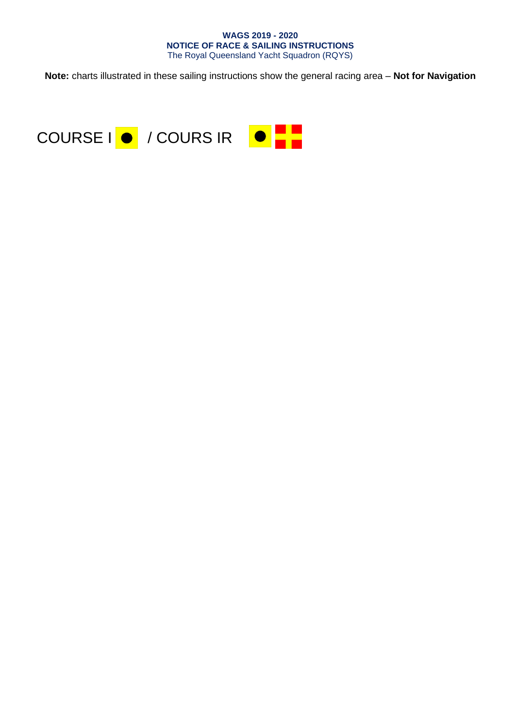**Note:** charts illustrated in these sailing instructions show the general racing area – **Not for Navigation**

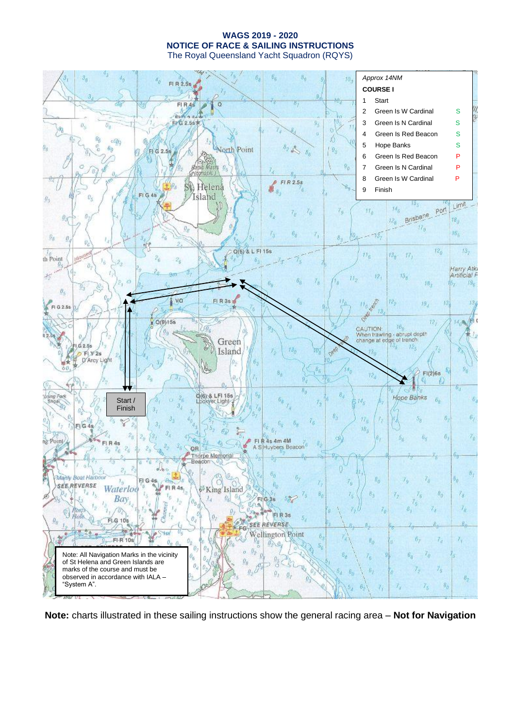$3<sub>0</sub>$  $70<sub>3</sub>$ *Approx 14NM* d, FI R 2.5s **COURSE I** 1 Start  $FIRAS$  $\overline{c}$ 2 Green Is W Cardinal S **EVG 2.56 K** 3 Green Is N Cardinal S  $\theta_i$ 涵 4 Green Is Red Beacon S Λ  $\leq 0$ ğ, 7, 5 Hope Banks S  $\bar{v}_0$ North Point  $9<sub>o</sub>$ FI G 2.5s  $B.$ 6 Green Is Red Beacon P  $\theta_0$ 7 Green Is N Cardinal P û, 8 Green Is W Cardinal P  $FIR2.58$ Helená SO. 9 Finish 'n Island  $\theta_i$  $\theta_3$ Limit  $M_{\rm B}$  $\mathcal{E}_0$  $H_0$ port 7, Brisbane  $12<sub>g</sub>$ 18,  $\overline{u}_n$  $\theta_{\mathcal{E}}$  $15<sub>5</sub>$ 6,  $-13.$ z,  $\theta_0$  $8<sub>2</sub>$  $12<sub>b</sub>$  $13<sub>2</sub>$ Q(6) & L FI 15s  $H_R$  $13_p$  $17<sub>1</sub>$ th Point di. ĭ,  $\alpha$ **Harry Atki**<br>Artificial F  $\mathcal{X}_2^{\prime}$  $13<sub>8</sub>$  $12.$ ii.  $18_{3}$  $B_6$ Ďх. Đ,  $\theta_i$ vo Leon C FI R 3s 12,  $19_A$ 13  $18$ 11. FLG 2.5s Called  $Q(9)15s$  $72.$ 14.8  $CAUTION$   $16<sub>0</sub>$ <br>When trawling - abrupt depth<br>change at edge of trench  $16<sub>6</sub>$ Green  $G2.55$  $12.$ Island  $p$ FLV2s D'Arcy Light  $FI(2)6s$ ħ 6., ming Pork 0(6) & LFI 15s Hope Banks Start /  $\mathcal{B}_R$ 6 14. Ligh Finish6, 5,  $\overline{6}$ ÍZ. ž  $E_2$  $FI$  G 4  $18<sub>4</sub>$  $\mathcal{Z}_\text{II}$ ö. 7, 4s 4m 4M ng Point 4s  $\dot{Z}_6$ QR A S Huybers Beacon  $\mathbb{Z}_{\ell}$ orpe Memoria O. Ġ, Manly **Boat Harbou**  $5^{\circ}_{0}$  $\delta_{\alpha}$  $T_0$  $F|G$ Ö **SEE REVERSE FIR4s** Waterloo King Island  $a_{1}$ Ø,  $\theta_0$  $7<sub>8</sub>$  $r_i$ 7, Bay  $\vec{l}_d$ ò.  $G.36$ 8.  $7_k$ FI R 3s FLG 108  $\theta_{\theta}$ **SEE REVERSE**  $\overline{B}$ 16  $FG$ 糄 Wellington Point B FI-R 10s 6,  $\mathcal{I}_d$  $\mathcal{T}_q$  $\mathcal{A}$ 'n. Note: All Navigation Marks in the vicinity 7, of St Helena and Green Islands are ö, 7 ñ marks of the course and must be 75 ö, observed in accordance with IALA –  $\theta_2$ "System A".  $\delta_{\theta}$ 7, 73

**Note:** charts illustrated in these sailing instructions show the general racing area – **Not for Navigation**